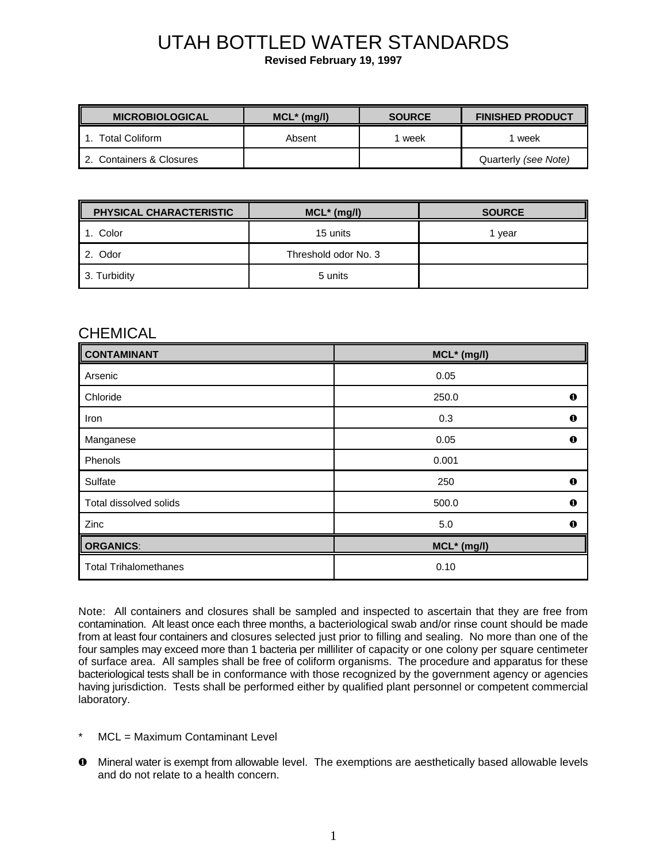# UTAH BOTTLED WATER STANDARDS

**Revised February 19, 1997**

| <b>MICROBIOLOGICAL</b>   | $MCL^*$ (mg/l) | <b>SOURCE</b> | <b>FINISHED PRODUCT</b> |
|--------------------------|----------------|---------------|-------------------------|
| Total Coliform           | Absent         | week          | week                    |
| 2. Containers & Closures |                |               | Quarterly (see Note)    |

| PHYSICAL CHARACTERISTIC | $MCL^*$ (mg/l)       | <b>SOURCE</b> |
|-------------------------|----------------------|---------------|
| Color                   | 15 units             | l vear        |
| 2. Odor                 | Threshold odor No. 3 |               |
| 3. Turbidity            | 5 units              |               |

#### **CHEMICAL**

| <b>CONTAMINANT</b>           | $MCL^*$ (mg/l) |          |
|------------------------------|----------------|----------|
| Arsenic                      | 0.05           |          |
| Chloride                     | 250.0          | $\bf{o}$ |
| Iron                         | 0.3            | $\bf{o}$ |
| Manganese                    | 0.05           | $\bf{o}$ |
| Phenols                      | 0.001          |          |
| Sulfate                      | 250            | $\bf{o}$ |
| Total dissolved solids       | 500.0          | $\bf{o}$ |
| Zinc                         | 5.0            | $\bf{o}$ |
| <b>ORGANICS:</b>             | MCL* (mg/l)    |          |
| <b>Total Trihalomethanes</b> | 0.10           |          |

Note: All containers and closures shall be sampled and inspected to ascertain that they are free from contamination. Alt least once each three months, a bacteriological swab and/or rinse count should be made from at least four containers and closures selected just prior to filling and sealing. No more than one of the four samples may exceed more than 1 bacteria per milliliter of capacity or one colony per square centimeter of surface area. All samples shall be free of coliform organisms. The procedure and apparatus for these bacteriological tests shall be in conformance with those recognized by the government agency or agencies having jurisdiction. Tests shall be performed either by qualified plant personnel or competent commercial laboratory.

- MCL = Maximum Contaminant Level
- $\bullet$  Mineral water is exempt from allowable level. The exemptions are aesthetically based allowable levels and do not relate to a health concern.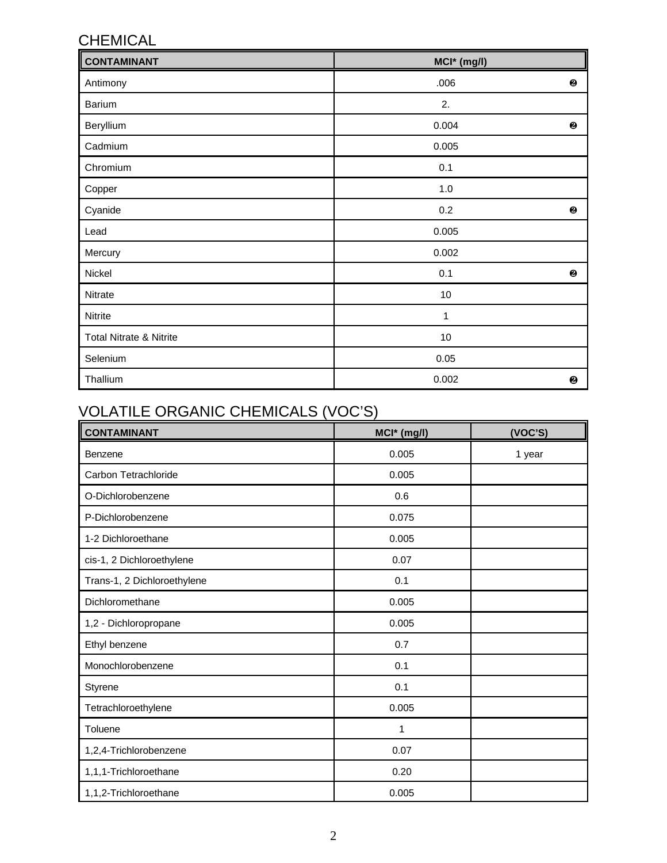## CHEMICAL

| CONTAMINANT<br>MCI* (mg/l) |          |   |
|----------------------------|----------|---|
| Antimony                   | .006     | ❷ |
| Barium                     | 2.       |   |
| Beryllium                  | 0.004    | ❷ |
| Cadmium                    | 0.005    |   |
| Chromium                   | 0.1      |   |
| Copper                     | $1.0$    |   |
| Cyanide                    | 0.2      | ❷ |
| Lead                       | 0.005    |   |
| Mercury                    | 0.002    |   |
| Nickel                     | 0.1      | ❷ |
| Nitrate                    | $10$     |   |
| Nitrite                    | 1        |   |
| Total Nitrate & Nitrite    | $10$     |   |
| Selenium                   | $0.05\,$ |   |
| Thallium                   | 0.002    | ❷ |

## VOLATILE ORGANIC CHEMICALS (VOC'S)

| <b>CONTAMINANT</b>          | MCI* (mg/l) | (VOC'S) |
|-----------------------------|-------------|---------|
| Benzene                     | 0.005       | 1 year  |
| Carbon Tetrachloride        | 0.005       |         |
| O-Dichlorobenzene           | 0.6         |         |
| P-Dichlorobenzene           | 0.075       |         |
| 1-2 Dichloroethane          | 0.005       |         |
| cis-1, 2 Dichloroethylene   | 0.07        |         |
| Trans-1, 2 Dichloroethylene | 0.1         |         |
| Dichloromethane             | 0.005       |         |
| 1,2 - Dichloropropane       | 0.005       |         |
| Ethyl benzene               | 0.7         |         |
| Monochlorobenzene           | 0.1         |         |
| <b>Styrene</b>              | 0.1         |         |
| Tetrachloroethylene         | 0.005       |         |
| Toluene                     | 1           |         |
| 1,2,4-Trichlorobenzene      | 0.07        |         |
| 1,1,1-Trichloroethane       | 0.20        |         |
| 1,1,2-Trichloroethane       | 0.005       |         |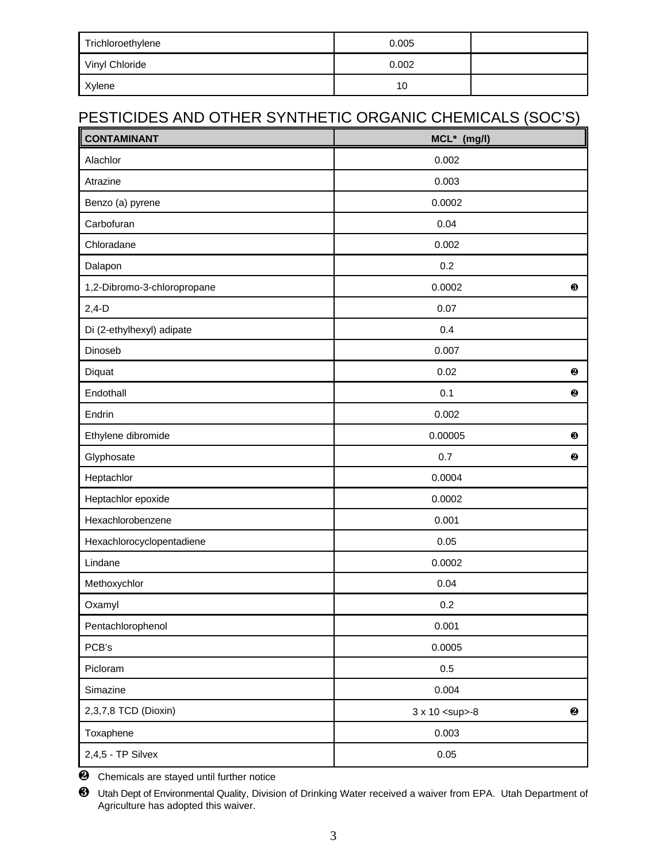| Trichloroethylene | 0.005 |  |
|-------------------|-------|--|
| Vinyl Chloride    | 0.002 |  |
| Xylene            | 10    |  |

## PESTICIDES AND OTHER SYNTHETIC ORGANIC CHEMICALS (SOC'S)

| <b>CONTAMINANT</b>          | MCL* (mg/l)          |           |
|-----------------------------|----------------------|-----------|
| Alachlor                    | 0.002                |           |
| Atrazine                    | 0.003                |           |
| Benzo (a) pyrene            | 0.0002               |           |
| Carbofuran                  | 0.04                 |           |
| Chloradane                  | 0.002                |           |
| Dalapon                     | 0.2                  |           |
| 1,2-Dibromo-3-chloropropane | 0.0002               | $\bm{6}$  |
| $2,4-D$                     | 0.07                 |           |
| Di (2-ethylhexyl) adipate   | 0.4                  |           |
| Dinoseb                     | 0.007                |           |
| Diquat                      | 0.02                 | ❷         |
| Endothall                   | 0.1                  | ❷         |
| Endrin                      | 0.002                |           |
| Ethylene dibromide          | 0.00005              | $\bullet$ |
| Glyphosate                  | 0.7                  | ❷         |
| Heptachlor                  | 0.0004               |           |
| Heptachlor epoxide          | 0.0002               |           |
| Hexachlorobenzene           | 0.001                |           |
| Hexachlorocyclopentadiene   | 0.05                 |           |
| Lindane                     | 0.0002               |           |
| Methoxychlor                | 0.04                 |           |
| Oxamyl                      | 0.2                  |           |
| Pentachlorophenol           | 0.001                |           |
| PCB's                       | 0.0005               |           |
| Picloram                    | 0.5                  |           |
| Simazine                    | 0.004                |           |
| 2,3,7,8 TCD (Dioxin)        | 3 x 10 <sup>-8</sup> | ❷         |
| Toxaphene                   | 0.003                |           |
| 2,4,5 - TP Silvex           | $0.05\,$             |           |

<sup>2</sup> Chemicals are stayed until further notice

⁄ Utah Dept of Environmental Quality, Division of Drinking Water received a waiver from EPA. Utah Department of Agriculture has adopted this waiver.